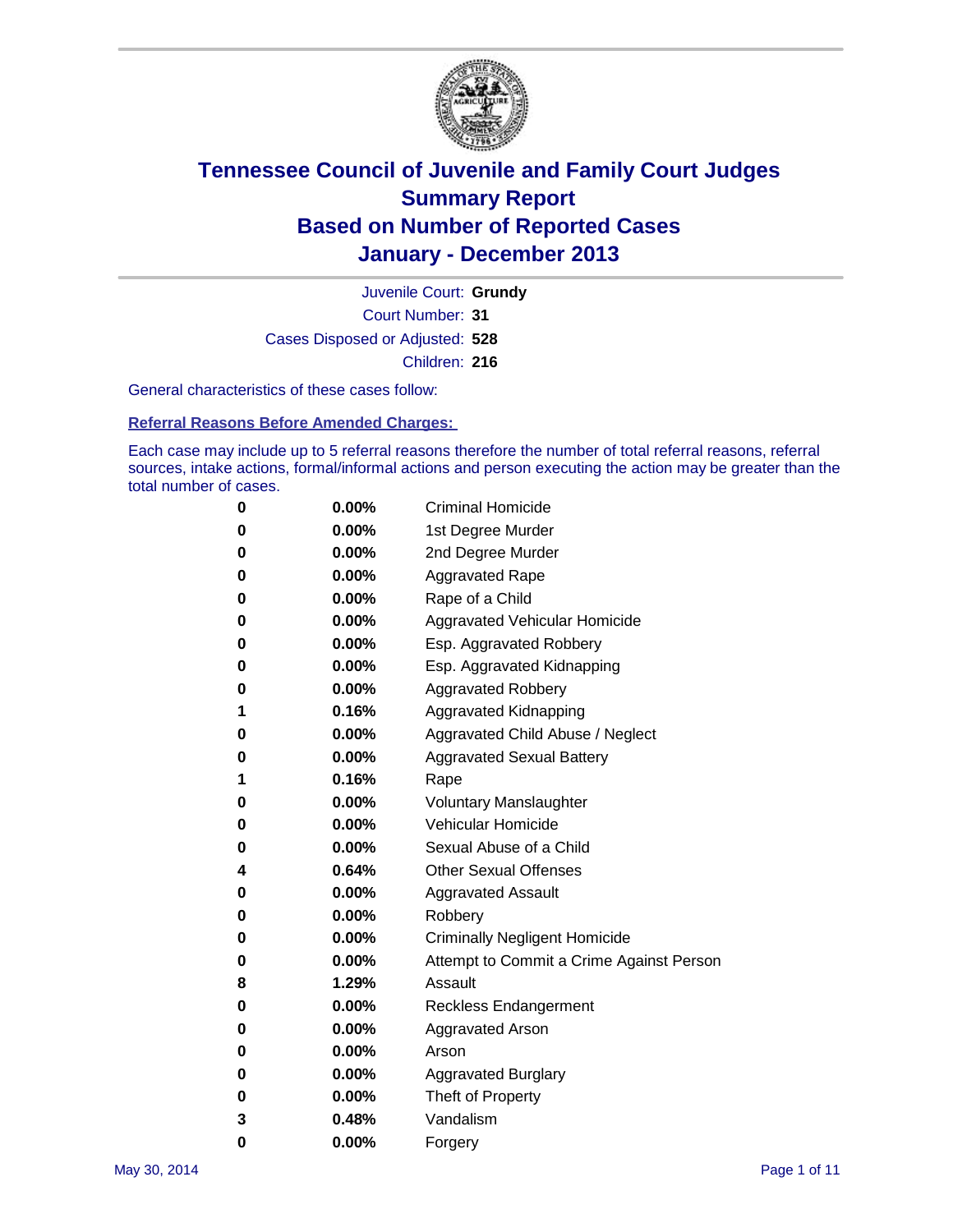

Court Number: **31** Juvenile Court: **Grundy** Cases Disposed or Adjusted: **528** Children: **216**

General characteristics of these cases follow:

**Referral Reasons Before Amended Charges:** 

Each case may include up to 5 referral reasons therefore the number of total referral reasons, referral sources, intake actions, formal/informal actions and person executing the action may be greater than the total number of cases.

| 0 | $0.00\%$ | <b>Criminal Homicide</b>                 |
|---|----------|------------------------------------------|
| 0 | 0.00%    | 1st Degree Murder                        |
| 0 | 0.00%    | 2nd Degree Murder                        |
| 0 | $0.00\%$ | <b>Aggravated Rape</b>                   |
| 0 | 0.00%    | Rape of a Child                          |
| 0 | 0.00%    | Aggravated Vehicular Homicide            |
| 0 | $0.00\%$ | Esp. Aggravated Robbery                  |
| 0 | $0.00\%$ | Esp. Aggravated Kidnapping               |
| 0 | $0.00\%$ | <b>Aggravated Robbery</b>                |
| 1 | 0.16%    | Aggravated Kidnapping                    |
| 0 | $0.00\%$ | Aggravated Child Abuse / Neglect         |
| 0 | 0.00%    | <b>Aggravated Sexual Battery</b>         |
| 1 | 0.16%    | Rape                                     |
| 0 | $0.00\%$ | <b>Voluntary Manslaughter</b>            |
| 0 | 0.00%    | Vehicular Homicide                       |
| 0 | 0.00%    | Sexual Abuse of a Child                  |
| 4 | 0.64%    | <b>Other Sexual Offenses</b>             |
| 0 | $0.00\%$ | <b>Aggravated Assault</b>                |
| 0 | 0.00%    | Robbery                                  |
| 0 | 0.00%    | <b>Criminally Negligent Homicide</b>     |
| 0 | $0.00\%$ | Attempt to Commit a Crime Against Person |
| 8 | 1.29%    | Assault                                  |
| 0 | 0.00%    | <b>Reckless Endangerment</b>             |
| 0 | 0.00%    | <b>Aggravated Arson</b>                  |
| 0 | 0.00%    | Arson                                    |
| 0 | 0.00%    | <b>Aggravated Burglary</b>               |
| 0 | 0.00%    | Theft of Property                        |
| 3 | 0.48%    | Vandalism                                |
| 0 | 0.00%    | Forgery                                  |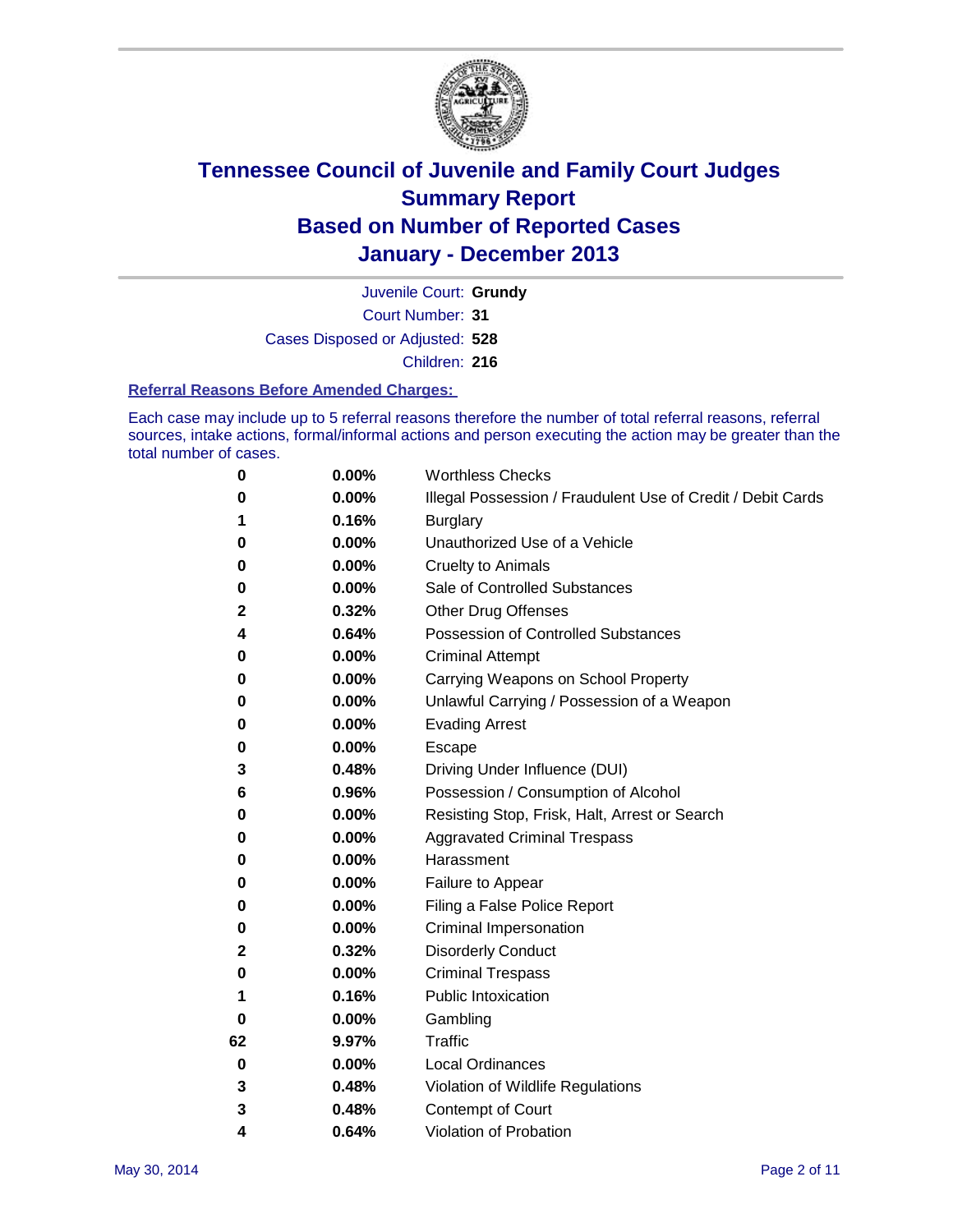

Court Number: **31** Juvenile Court: **Grundy** Cases Disposed or Adjusted: **528** Children: **216**

#### **Referral Reasons Before Amended Charges:**

Each case may include up to 5 referral reasons therefore the number of total referral reasons, referral sources, intake actions, formal/informal actions and person executing the action may be greater than the total number of cases.

| 0  | 0.00% | <b>Worthless Checks</b>                                     |
|----|-------|-------------------------------------------------------------|
| 0  | 0.00% | Illegal Possession / Fraudulent Use of Credit / Debit Cards |
| 1  | 0.16% | <b>Burglary</b>                                             |
| 0  | 0.00% | Unauthorized Use of a Vehicle                               |
| 0  | 0.00% | <b>Cruelty to Animals</b>                                   |
| 0  | 0.00% | Sale of Controlled Substances                               |
| 2  | 0.32% | <b>Other Drug Offenses</b>                                  |
| 4  | 0.64% | Possession of Controlled Substances                         |
| 0  | 0.00% | <b>Criminal Attempt</b>                                     |
| 0  | 0.00% | Carrying Weapons on School Property                         |
| 0  | 0.00% | Unlawful Carrying / Possession of a Weapon                  |
| 0  | 0.00% | <b>Evading Arrest</b>                                       |
| 0  | 0.00% | Escape                                                      |
| 3  | 0.48% | Driving Under Influence (DUI)                               |
| 6  | 0.96% | Possession / Consumption of Alcohol                         |
| 0  | 0.00% | Resisting Stop, Frisk, Halt, Arrest or Search               |
| 0  | 0.00% | <b>Aggravated Criminal Trespass</b>                         |
| 0  | 0.00% | Harassment                                                  |
| 0  | 0.00% | Failure to Appear                                           |
| 0  | 0.00% | Filing a False Police Report                                |
| 0  | 0.00% | Criminal Impersonation                                      |
| 2  | 0.32% | <b>Disorderly Conduct</b>                                   |
| 0  | 0.00% | <b>Criminal Trespass</b>                                    |
| 1  | 0.16% | <b>Public Intoxication</b>                                  |
| 0  | 0.00% | Gambling                                                    |
| 62 | 9.97% | <b>Traffic</b>                                              |
| 0  | 0.00% | <b>Local Ordinances</b>                                     |
| 3  | 0.48% | Violation of Wildlife Regulations                           |
| 3  | 0.48% | Contempt of Court                                           |
| 4  | 0.64% | Violation of Probation                                      |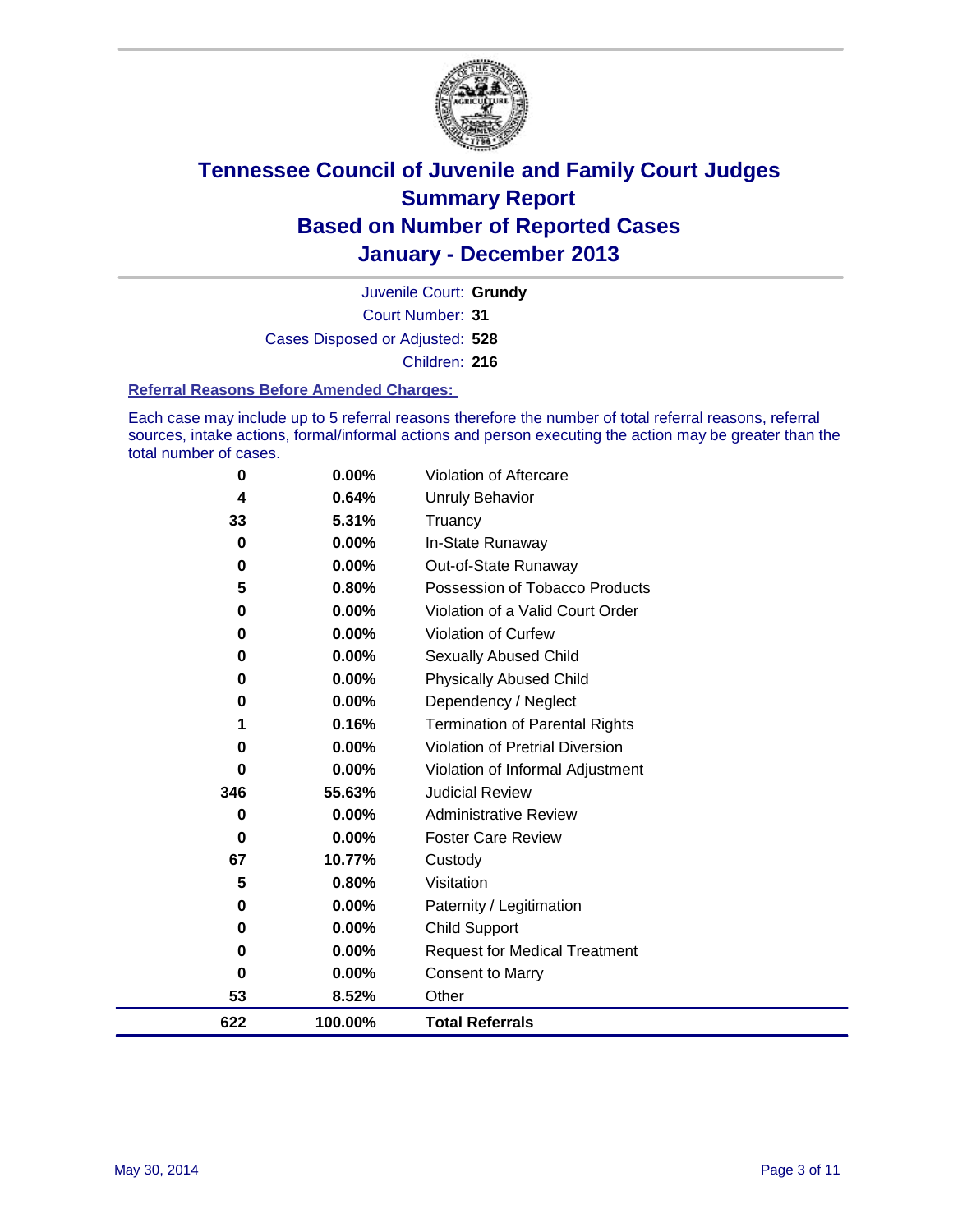

Court Number: **31** Juvenile Court: **Grundy** Cases Disposed or Adjusted: **528** Children: **216**

#### **Referral Reasons Before Amended Charges:**

Each case may include up to 5 referral reasons therefore the number of total referral reasons, referral sources, intake actions, formal/informal actions and person executing the action may be greater than the total number of cases.

| $\bf{0}$ | 0.00%   | Violation of Aftercare                |
|----------|---------|---------------------------------------|
| 4        | 0.64%   | Unruly Behavior                       |
| 33       | 5.31%   | Truancy                               |
| 0        | 0.00%   | In-State Runaway                      |
| 0        | 0.00%   | Out-of-State Runaway                  |
| 5        | 0.80%   | Possession of Tobacco Products        |
| 0        | 0.00%   | Violation of a Valid Court Order      |
| 0        | 0.00%   | <b>Violation of Curfew</b>            |
| 0        | 0.00%   | <b>Sexually Abused Child</b>          |
| 0        | 0.00%   | <b>Physically Abused Child</b>        |
| 0        | 0.00%   | Dependency / Neglect                  |
|          | 0.16%   | <b>Termination of Parental Rights</b> |
| 0        | 0.00%   | Violation of Pretrial Diversion       |
| 0        | 0.00%   | Violation of Informal Adjustment      |
| 346      | 55.63%  | <b>Judicial Review</b>                |
| 0        | 0.00%   | <b>Administrative Review</b>          |
| 0        | 0.00%   | <b>Foster Care Review</b>             |
| 67       | 10.77%  | Custody                               |
| 5        | 0.80%   | Visitation                            |
| 0        | 0.00%   | Paternity / Legitimation              |
| 0        | 0.00%   | Child Support                         |
| 0        | 0.00%   | <b>Request for Medical Treatment</b>  |
| 0        | 0.00%   | <b>Consent to Marry</b>               |
| 53       | 8.52%   | Other                                 |
| 622      | 100.00% | <b>Total Referrals</b>                |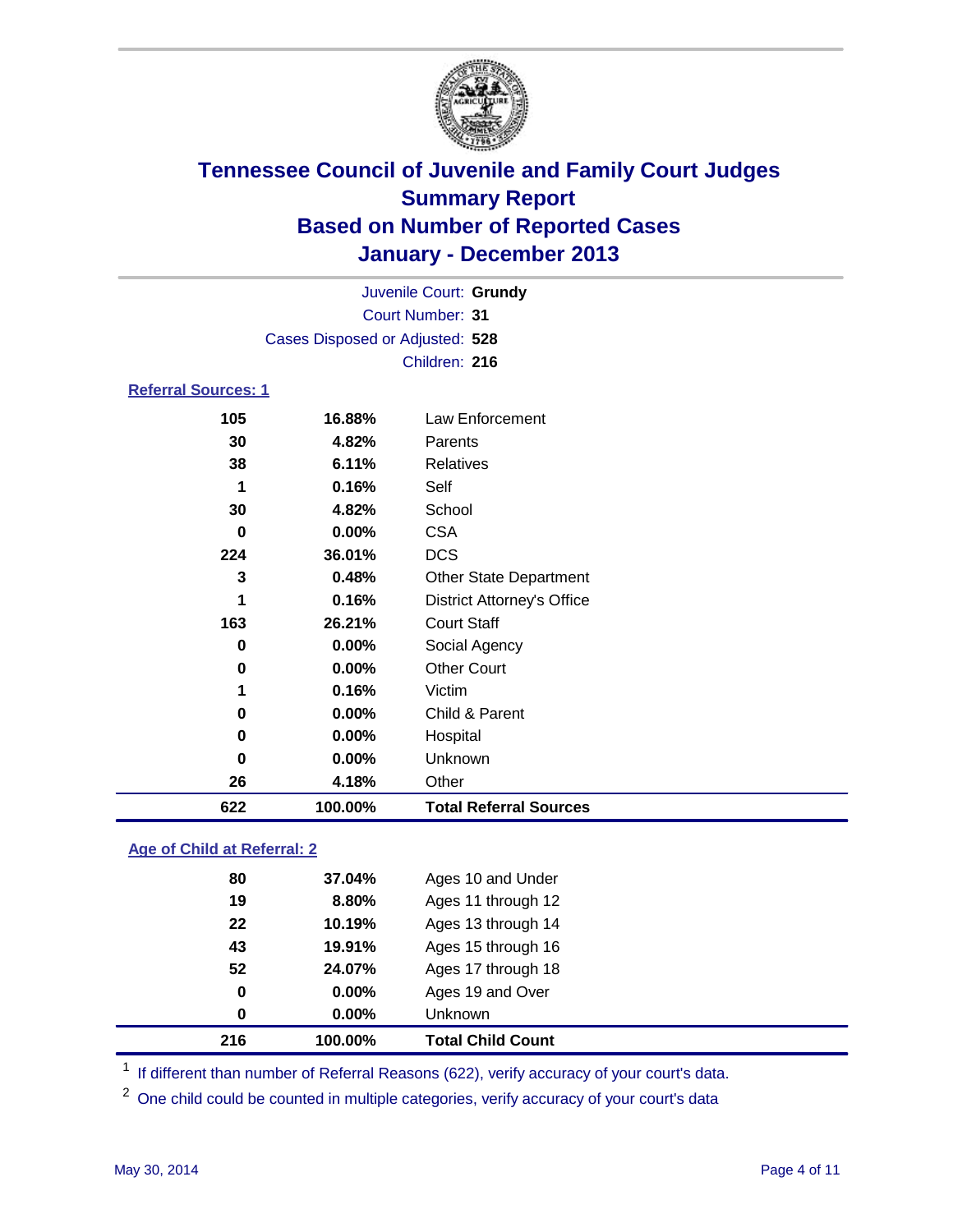

|                                 |         | Juvenile Court: Grundy            |  |
|---------------------------------|---------|-----------------------------------|--|
|                                 |         | Court Number: 31                  |  |
| Cases Disposed or Adjusted: 528 |         |                                   |  |
|                                 |         | Children: 216                     |  |
| <b>Referral Sources: 1</b>      |         |                                   |  |
| 105                             | 16.88%  | Law Enforcement                   |  |
| 30                              | 4.82%   | Parents                           |  |
| 38                              | 6.11%   | <b>Relatives</b>                  |  |
| 1                               | 0.16%   | Self                              |  |
| 30                              | 4.82%   | School                            |  |
| 0                               | 0.00%   | <b>CSA</b>                        |  |
| 224                             | 36.01%  | <b>DCS</b>                        |  |
| 3                               | 0.48%   | <b>Other State Department</b>     |  |
| 1                               | 0.16%   | <b>District Attorney's Office</b> |  |
| 163                             | 26.21%  | <b>Court Staff</b>                |  |
| 0                               | 0.00%   | Social Agency                     |  |
| 0                               | 0.00%   | <b>Other Court</b>                |  |
| 1                               | 0.16%   | Victim                            |  |
| $\bf{0}$                        | 0.00%   | Child & Parent                    |  |
| 0                               | 0.00%   | Hospital                          |  |
| 0                               | 0.00%   | Unknown                           |  |
| 26                              | 4.18%   | Other                             |  |
| 622                             | 100.00% | <b>Total Referral Sources</b>     |  |

### **Age of Child at Referral: 2**

| 0  | $0.00\%$ | <b>Unknown</b>     |  |
|----|----------|--------------------|--|
|    |          |                    |  |
| 0  | $0.00\%$ | Ages 19 and Over   |  |
| 52 | 24.07%   | Ages 17 through 18 |  |
| 43 | 19.91%   | Ages 15 through 16 |  |
| 22 | 10.19%   | Ages 13 through 14 |  |
| 19 | 8.80%    | Ages 11 through 12 |  |
| 80 | 37.04%   | Ages 10 and Under  |  |
|    |          |                    |  |

<sup>1</sup> If different than number of Referral Reasons (622), verify accuracy of your court's data.

<sup>2</sup> One child could be counted in multiple categories, verify accuracy of your court's data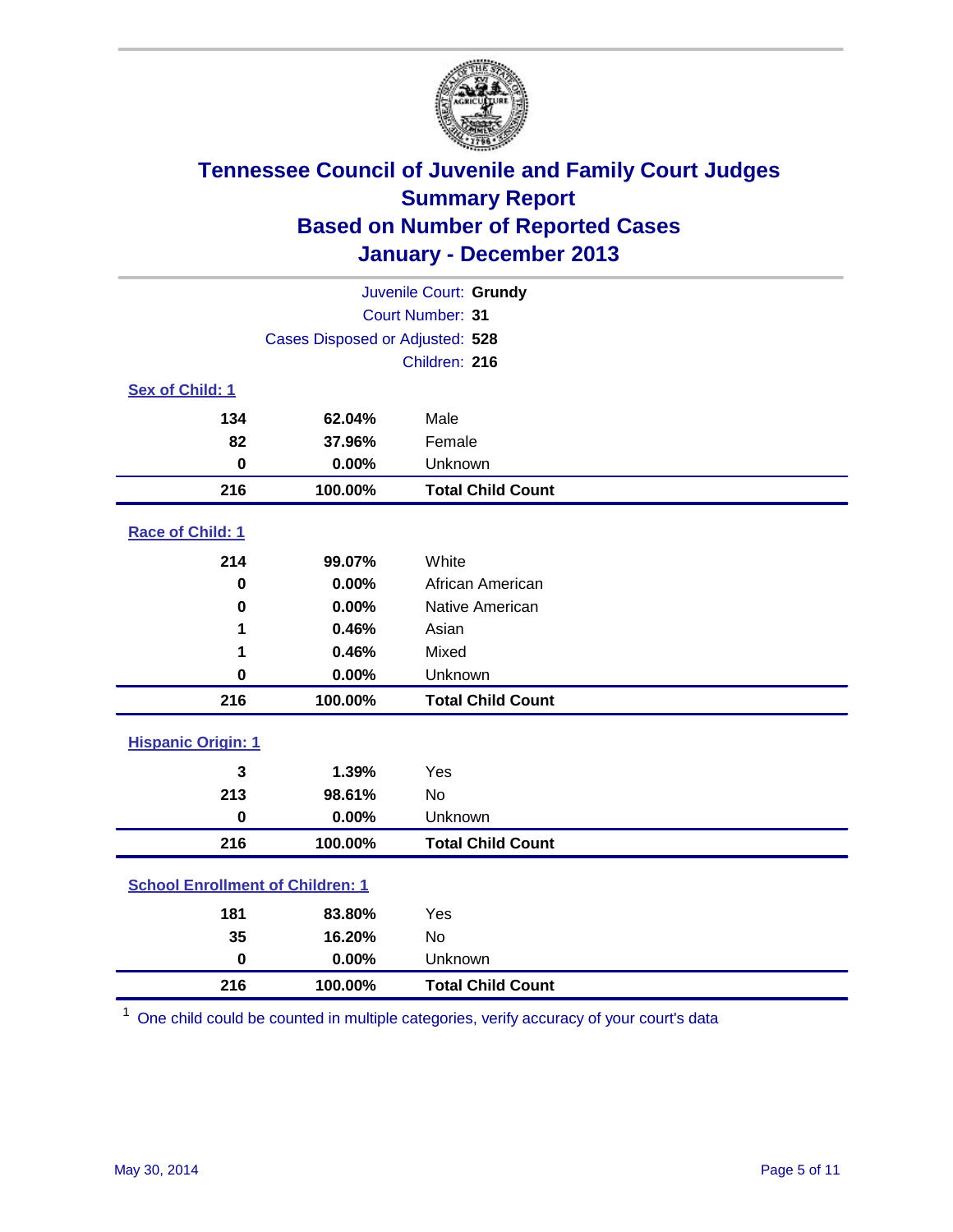

| Juvenile Court: Grundy                  |                                 |                          |  |  |
|-----------------------------------------|---------------------------------|--------------------------|--|--|
| Court Number: 31                        |                                 |                          |  |  |
|                                         | Cases Disposed or Adjusted: 528 |                          |  |  |
|                                         |                                 | Children: 216            |  |  |
| Sex of Child: 1                         |                                 |                          |  |  |
| 134                                     | 62.04%                          | Male                     |  |  |
| 82                                      | 37.96%                          | Female                   |  |  |
| $\bf{0}$                                | 0.00%                           | Unknown                  |  |  |
| 216                                     | 100.00%                         | <b>Total Child Count</b> |  |  |
| Race of Child: 1                        |                                 |                          |  |  |
| 214                                     | 99.07%                          | White                    |  |  |
| 0                                       | 0.00%                           | African American         |  |  |
| $\bf{0}$                                | 0.00%                           | Native American          |  |  |
| 1                                       | 0.46%                           | Asian                    |  |  |
| 1                                       | 0.46%                           | Mixed                    |  |  |
| $\bf{0}$                                | 0.00%                           | Unknown                  |  |  |
| 216                                     | 100.00%                         | <b>Total Child Count</b> |  |  |
| <b>Hispanic Origin: 1</b>               |                                 |                          |  |  |
| 3                                       | 1.39%                           | Yes                      |  |  |
| 213                                     | 98.61%                          | No                       |  |  |
| $\pmb{0}$                               | 0.00%                           | Unknown                  |  |  |
| 216                                     | 100.00%                         | <b>Total Child Count</b> |  |  |
| <b>School Enrollment of Children: 1</b> |                                 |                          |  |  |
| 181                                     | 83.80%                          | Yes                      |  |  |
| 35                                      | 16.20%                          | No                       |  |  |
| $\mathbf 0$                             | 0.00%                           | Unknown                  |  |  |
| 216                                     | 100.00%                         | <b>Total Child Count</b> |  |  |

One child could be counted in multiple categories, verify accuracy of your court's data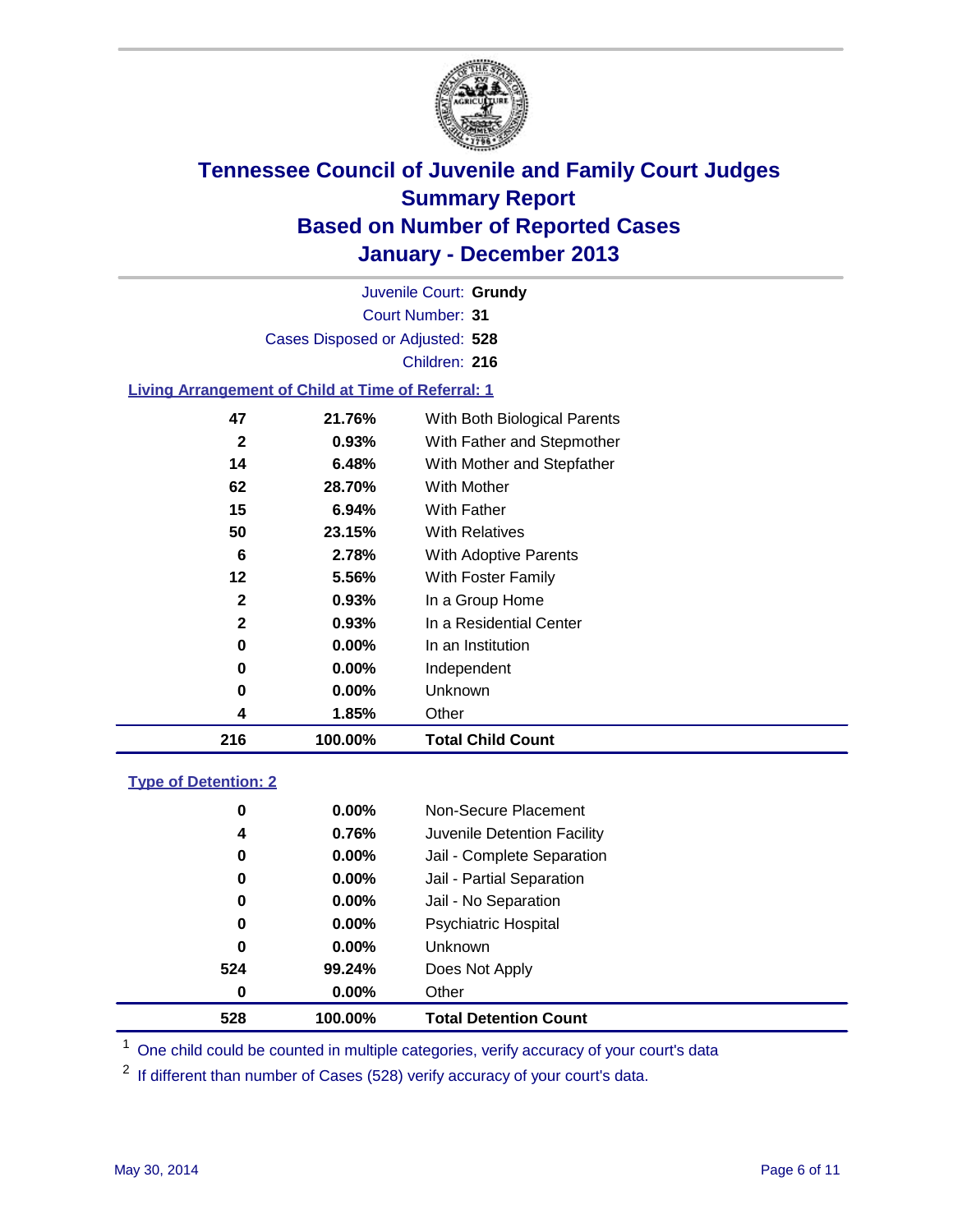

Court Number: **31** Juvenile Court: **Grundy** Cases Disposed or Adjusted: **528** Children: **216**

### **Living Arrangement of Child at Time of Referral: 1**

| 216          | 100.00%  | <b>Total Child Count</b>     |
|--------------|----------|------------------------------|
| 4            | 1.85%    | Other                        |
| 0            | $0.00\%$ | Unknown                      |
| 0            | $0.00\%$ | Independent                  |
| 0            | $0.00\%$ | In an Institution            |
| $\mathbf{2}$ | 0.93%    | In a Residential Center      |
| 2            | 0.93%    | In a Group Home              |
| 12           | 5.56%    | With Foster Family           |
| 6            | 2.78%    | With Adoptive Parents        |
| 50           | 23.15%   | <b>With Relatives</b>        |
| 15           | 6.94%    | <b>With Father</b>           |
| 62           | 28.70%   | With Mother                  |
| 14           | 6.48%    | With Mother and Stepfather   |
| $\mathbf{2}$ | $0.93\%$ | With Father and Stepmother   |
| 47           | 21.76%   | With Both Biological Parents |
|              |          |                              |

#### **Type of Detention: 2**

| 528 | 100.00%  | <b>Total Detention Count</b> |  |
|-----|----------|------------------------------|--|
| 0   | 0.00%    | Other                        |  |
| 524 | 99.24%   | Does Not Apply               |  |
| 0   | 0.00%    | <b>Unknown</b>               |  |
| 0   | $0.00\%$ | <b>Psychiatric Hospital</b>  |  |
| 0   | 0.00%    | Jail - No Separation         |  |
| 0   | 0.00%    | Jail - Partial Separation    |  |
| 0   | 0.00%    | Jail - Complete Separation   |  |
| 4   | 0.76%    | Juvenile Detention Facility  |  |
| 0   | $0.00\%$ | Non-Secure Placement         |  |
|     |          |                              |  |

<sup>1</sup> One child could be counted in multiple categories, verify accuracy of your court's data

If different than number of Cases (528) verify accuracy of your court's data.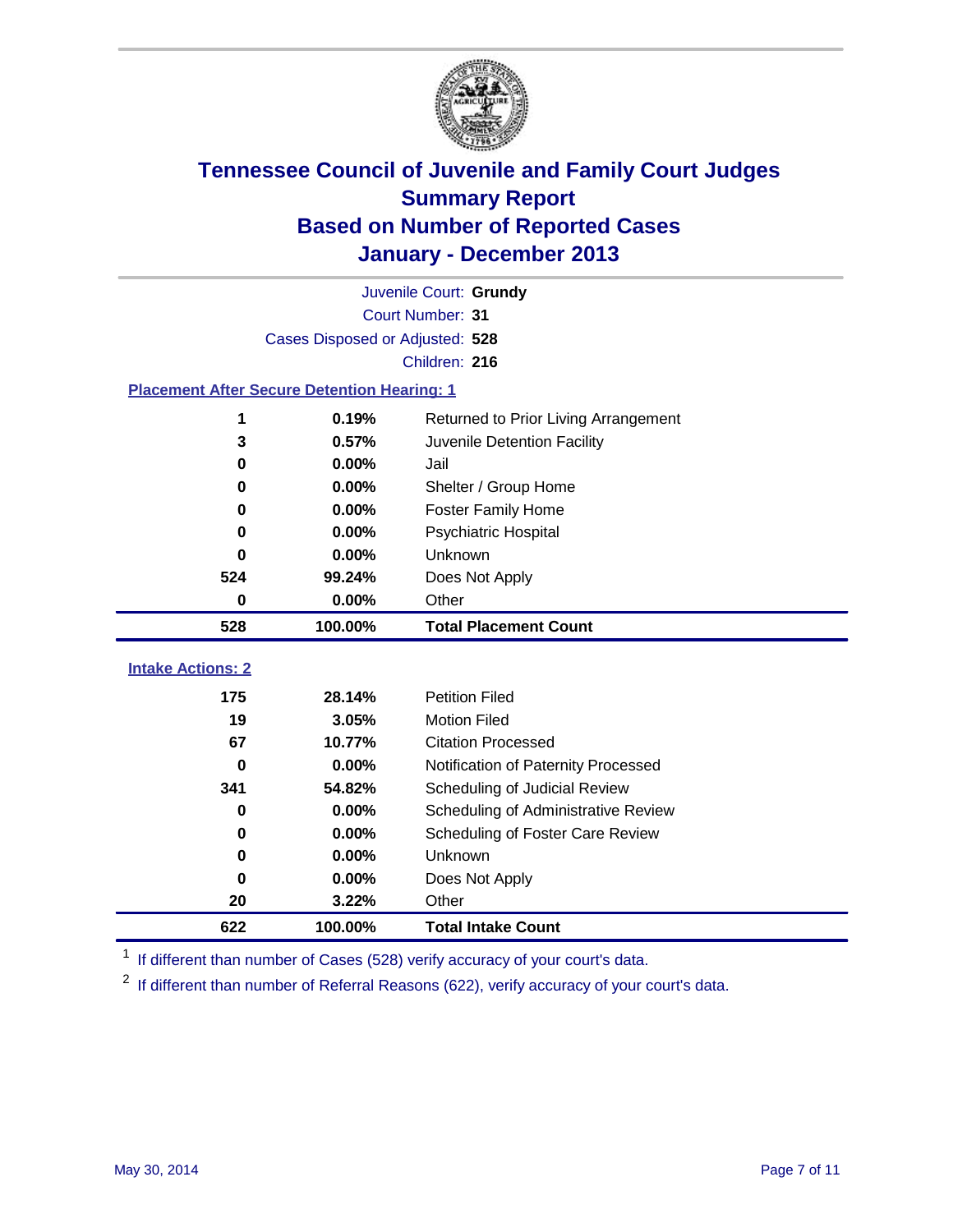

|                                                    |                                 | Juvenile Court: Grundy               |  |  |  |
|----------------------------------------------------|---------------------------------|--------------------------------------|--|--|--|
|                                                    | Court Number: 31                |                                      |  |  |  |
|                                                    | Cases Disposed or Adjusted: 528 |                                      |  |  |  |
|                                                    |                                 | Children: 216                        |  |  |  |
| <b>Placement After Secure Detention Hearing: 1</b> |                                 |                                      |  |  |  |
| 1                                                  | 0.19%                           | Returned to Prior Living Arrangement |  |  |  |
| 3                                                  | 0.57%                           | Juvenile Detention Facility          |  |  |  |
| $\bf{0}$                                           | 0.00%                           | Jail                                 |  |  |  |
| 0                                                  | 0.00%                           | Shelter / Group Home                 |  |  |  |
| $\bf{0}$                                           | 0.00%                           | <b>Foster Family Home</b>            |  |  |  |
| 0                                                  | 0.00%                           | Psychiatric Hospital                 |  |  |  |
| 0                                                  | 0.00%                           | Unknown                              |  |  |  |
| 524                                                | 99.24%                          | Does Not Apply                       |  |  |  |
| $\bf{0}$                                           | 0.00%                           | Other                                |  |  |  |
| 528                                                | 100.00%                         | <b>Total Placement Count</b>         |  |  |  |
|                                                    |                                 |                                      |  |  |  |
| <b>Intake Actions: 2</b>                           |                                 |                                      |  |  |  |
| 175                                                | 28.14%                          | <b>Petition Filed</b>                |  |  |  |
| 19                                                 | 3.05%                           | <b>Motion Filed</b>                  |  |  |  |
| 67                                                 | 10.77%                          | <b>Citation Processed</b>            |  |  |  |
| 0                                                  | 0.00%                           | Notification of Paternity Processed  |  |  |  |
| 341                                                | 54.82%                          | Scheduling of Judicial Review        |  |  |  |
| 0                                                  | 0.00%                           | Scheduling of Administrative Review  |  |  |  |
| 0                                                  | 0.00%                           | Scheduling of Foster Care Review     |  |  |  |
| $\bf{0}$                                           | 0.00%                           | Unknown                              |  |  |  |
| 0                                                  | 0.00%                           | Does Not Apply                       |  |  |  |
| 20                                                 | 3.22%                           | Other                                |  |  |  |
| 622                                                | 100.00%                         | <b>Total Intake Count</b>            |  |  |  |

<sup>1</sup> If different than number of Cases (528) verify accuracy of your court's data.

<sup>2</sup> If different than number of Referral Reasons (622), verify accuracy of your court's data.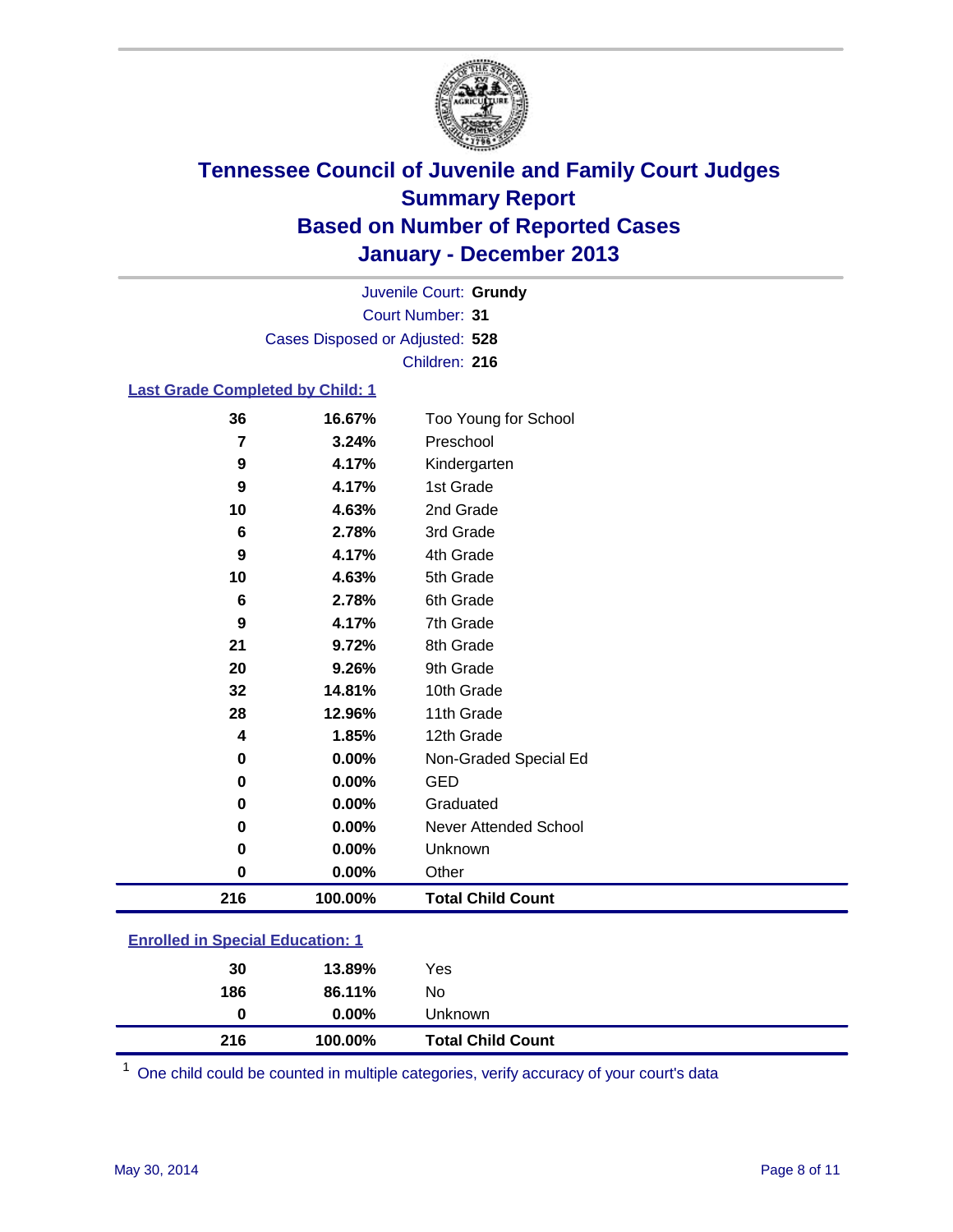

Court Number: **31** Juvenile Court: **Grundy** Cases Disposed or Adjusted: **528** Children: **216**

#### **Last Grade Completed by Child: 1**

| 36  | 16.67%  | Too Young for School     |
|-----|---------|--------------------------|
| 7   | 3.24%   | Preschool                |
| 9   | 4.17%   | Kindergarten             |
| 9   | 4.17%   | 1st Grade                |
| 10  | 4.63%   | 2nd Grade                |
| 6   | 2.78%   | 3rd Grade                |
| 9   | 4.17%   | 4th Grade                |
| 10  | 4.63%   | 5th Grade                |
| 6   | 2.78%   | 6th Grade                |
| 9   | 4.17%   | 7th Grade                |
| 21  | 9.72%   | 8th Grade                |
| 20  | 9.26%   | 9th Grade                |
| 32  | 14.81%  | 10th Grade               |
| 28  | 12.96%  | 11th Grade               |
| 4   | 1.85%   | 12th Grade               |
| 0   | 0.00%   | Non-Graded Special Ed    |
| 0   | 0.00%   | <b>GED</b>               |
| 0   | 0.00%   | Graduated                |
| 0   | 0.00%   | Never Attended School    |
| 0   | 0.00%   | Unknown                  |
| 0   | 0.00%   | Other                    |
| 216 | 100.00% | <b>Total Child Count</b> |

| <b>Enrolled in Special Education: 1</b> |       |              |  |
|-----------------------------------------|-------|--------------|--|
| חכ                                      | 12000 | $V_{\Omega}$ |  |

| 216 | 100.00%  | <b>Total Child Count</b> |  |
|-----|----------|--------------------------|--|
| O   | $0.00\%$ | Unknown                  |  |
| 186 | 86.11%   | No                       |  |
| 30  | 13.89%   | Yes                      |  |

One child could be counted in multiple categories, verify accuracy of your court's data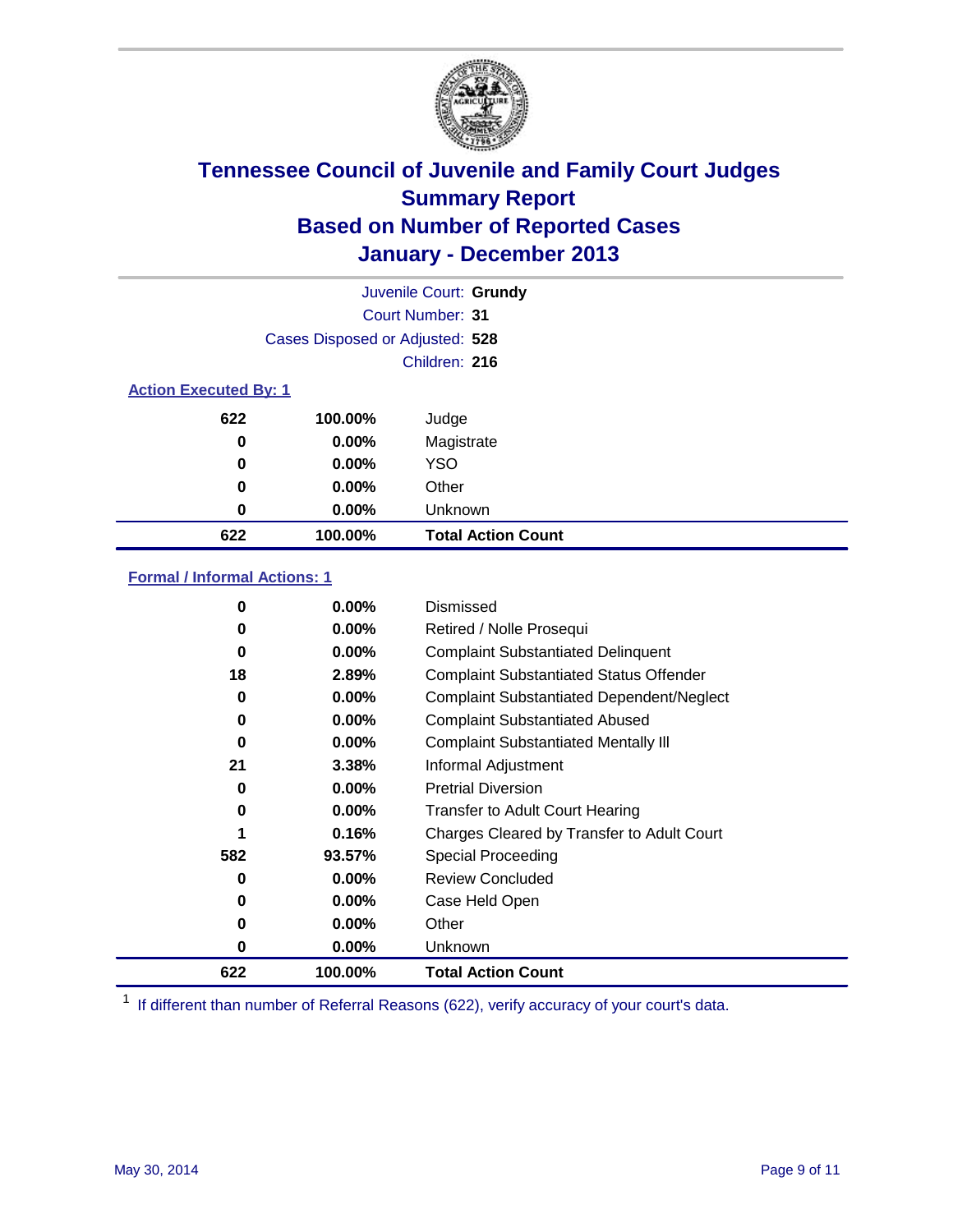

|                              |                                 | Juvenile Court: Grundy    |
|------------------------------|---------------------------------|---------------------------|
|                              |                                 | Court Number: 31          |
|                              | Cases Disposed or Adjusted: 528 |                           |
|                              |                                 | Children: 216             |
| <b>Action Executed By: 1</b> |                                 |                           |
| 622                          | 100.00%                         | Judge                     |
| 0                            | $0.00\%$                        | Magistrate                |
| 0                            | $0.00\%$                        | <b>YSO</b>                |
| 0                            | $0.00\%$                        | Other                     |
| 0                            | $0.00\%$                        | Unknown                   |
| 622                          | 100.00%                         | <b>Total Action Count</b> |

### **Formal / Informal Actions: 1**

| 0   | $0.00\%$ | Dismissed                                        |
|-----|----------|--------------------------------------------------|
| 0   | $0.00\%$ | Retired / Nolle Prosequi                         |
| 0   | 0.00%    | <b>Complaint Substantiated Delinquent</b>        |
| 18  | 2.89%    | <b>Complaint Substantiated Status Offender</b>   |
| 0   | 0.00%    | <b>Complaint Substantiated Dependent/Neglect</b> |
| 0   | $0.00\%$ | <b>Complaint Substantiated Abused</b>            |
| 0   | $0.00\%$ | <b>Complaint Substantiated Mentally III</b>      |
| 21  | 3.38%    | Informal Adjustment                              |
| 0   | $0.00\%$ | <b>Pretrial Diversion</b>                        |
| 0   | 0.00%    | <b>Transfer to Adult Court Hearing</b>           |
|     | 0.16%    | Charges Cleared by Transfer to Adult Court       |
| 582 | 93.57%   | Special Proceeding                               |
| 0   | $0.00\%$ | <b>Review Concluded</b>                          |
| 0   | $0.00\%$ | Case Held Open                                   |
| 0   | $0.00\%$ | Other                                            |
| 0   | $0.00\%$ | Unknown                                          |
| 622 | 100.00%  | <b>Total Action Count</b>                        |

<sup>1</sup> If different than number of Referral Reasons (622), verify accuracy of your court's data.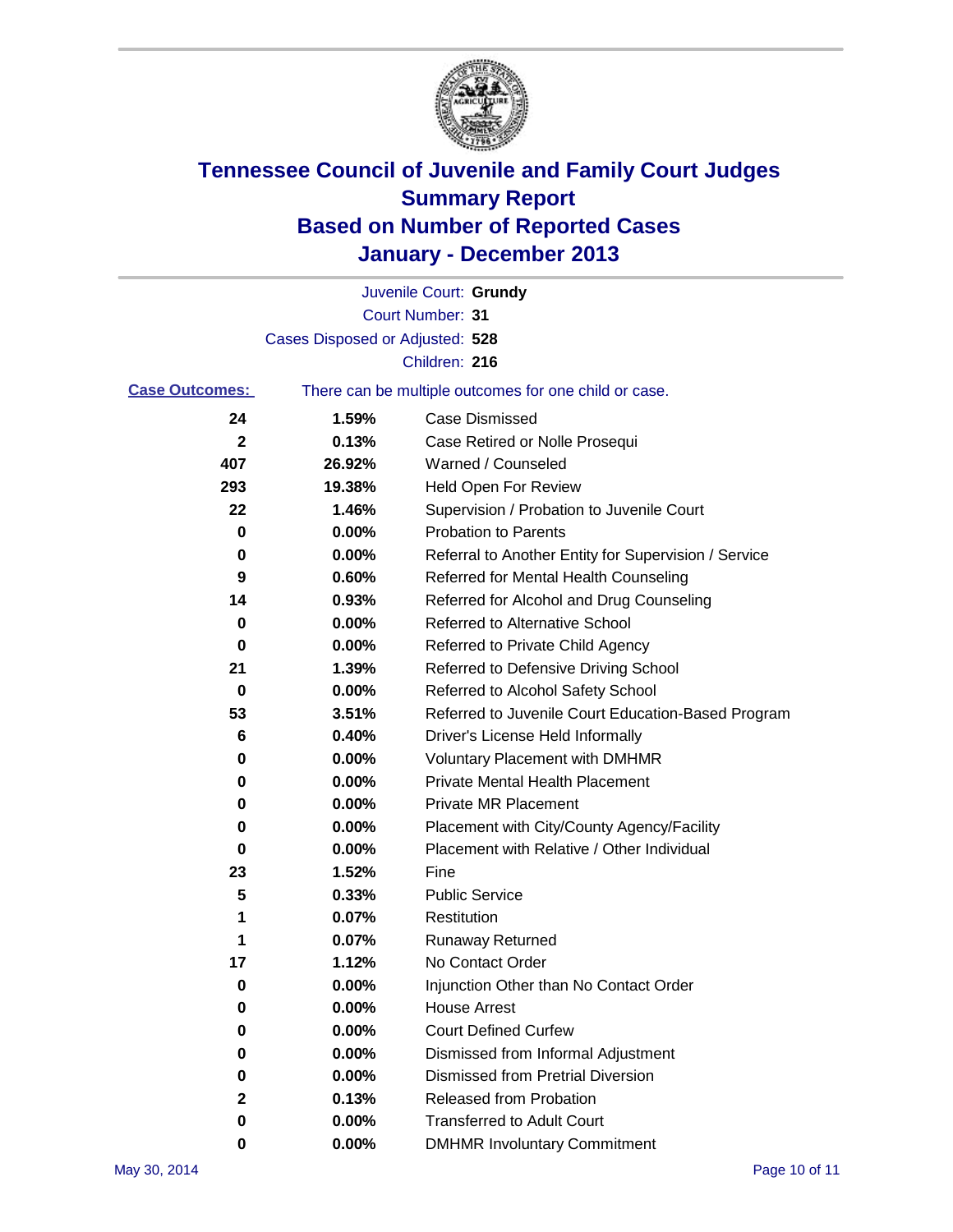

|                       |                                 | Juvenile Court: Grundy                                |
|-----------------------|---------------------------------|-------------------------------------------------------|
|                       |                                 | Court Number: 31                                      |
|                       | Cases Disposed or Adjusted: 528 |                                                       |
|                       |                                 | Children: 216                                         |
| <b>Case Outcomes:</b> |                                 | There can be multiple outcomes for one child or case. |
| 24                    | 1.59%                           | Case Dismissed                                        |
| 2                     | 0.13%                           | Case Retired or Nolle Prosequi                        |
| 407                   | 26.92%                          | Warned / Counseled                                    |
| 293                   | 19.38%                          | <b>Held Open For Review</b>                           |
| 22                    | 1.46%                           | Supervision / Probation to Juvenile Court             |
| 0                     | 0.00%                           | <b>Probation to Parents</b>                           |
| 0                     | 0.00%                           | Referral to Another Entity for Supervision / Service  |
| 9                     | 0.60%                           | Referred for Mental Health Counseling                 |
| 14                    | 0.93%                           | Referred for Alcohol and Drug Counseling              |
| 0                     | 0.00%                           | <b>Referred to Alternative School</b>                 |
| 0                     | 0.00%                           | Referred to Private Child Agency                      |
| 21                    | 1.39%                           | Referred to Defensive Driving School                  |
| 0                     | 0.00%                           | Referred to Alcohol Safety School                     |
| 53                    | 3.51%                           | Referred to Juvenile Court Education-Based Program    |
| 6                     | 0.40%                           | Driver's License Held Informally                      |
| 0                     | 0.00%                           | <b>Voluntary Placement with DMHMR</b>                 |
| 0                     | 0.00%                           | <b>Private Mental Health Placement</b>                |
| 0                     | 0.00%                           | <b>Private MR Placement</b>                           |
| 0                     | 0.00%                           | Placement with City/County Agency/Facility            |
| 0                     | 0.00%                           | Placement with Relative / Other Individual            |
| 23                    | 1.52%                           | Fine                                                  |
| 5                     | 0.33%                           | <b>Public Service</b>                                 |
| 1                     | 0.07%                           | Restitution                                           |
| 1                     | 0.07%                           | <b>Runaway Returned</b>                               |
| 17                    | 1.12%                           | No Contact Order                                      |
| 0                     | 0.00%                           | Injunction Other than No Contact Order                |
| 0                     | 0.00%                           | <b>House Arrest</b>                                   |
| 0                     | 0.00%                           | <b>Court Defined Curfew</b>                           |
| 0                     | 0.00%                           | Dismissed from Informal Adjustment                    |
| 0                     | 0.00%                           | <b>Dismissed from Pretrial Diversion</b>              |
| 2                     | 0.13%                           | Released from Probation                               |
| 0                     | 0.00%                           | <b>Transferred to Adult Court</b>                     |
| 0                     | $0.00\%$                        | <b>DMHMR Involuntary Commitment</b>                   |